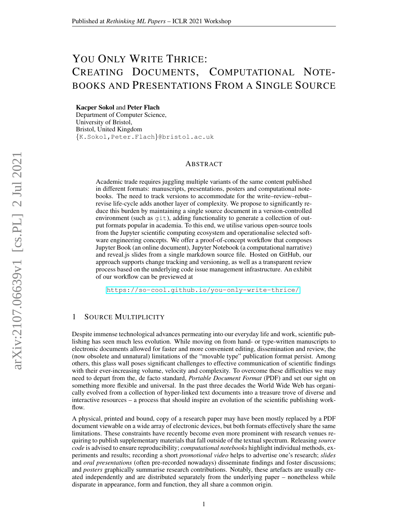# YOU ONLY WRITE THRICE: CREATING DOCUMENTS, COMPUTATIONAL NOTE-BOOKS AND PRESENTATIONS FROM A SINGLE SOURCE

Kacper Sokol and Peter Flach

Department of Computer Science, University of Bristol, Bristol, United Kingdom {K.Sokol,Peter.Flach}@bristol.ac.uk

## ABSTRACT

Academic trade requires juggling multiple variants of the same content published in different formats: manuscripts, presentations, posters and computational notebooks. The need to track versions to accommodate for the write–review–rebut– revise life-cycle adds another layer of complexity. We propose to significantly reduce this burden by maintaining a single source document in a version-controlled environment (such as git), adding functionality to generate a collection of output formats popular in academia. To this end, we utilise various open-source tools from the Jupyter scientific computing ecosystem and operationalise selected software engineering concepts. We offer a proof-of-concept workflow that composes Jupyter Book (an online document), Jupyter Notebook (a computational narrative) and reveal.js slides from a single markdown source file. Hosted on GitHub, our approach supports change tracking and versioning, as well as a transparent review process based on the underlying code issue management infrastructure. An exhibit of our workflow can be previewed at

<https://so-cool.github.io/you-only-write-thrice/>.

## 1 SOURCE MULTIPLICITY

Despite immense technological advances permeating into our everyday life and work, scientific publishing has seen much less evolution. While moving on from hand- or type-written manuscripts to electronic documents allowed for faster and more convenient editing, dissemination and review, the (now obsolete and unnatural) limitations of the "movable type" publication format persist. Among others, this glass wall poses significant challenges to effective communication of scientific findings with their ever-increasing volume, velocity and complexity. To overcome these difficulties we may need to depart from the, de facto standard, *Portable Document Format* (PDF) and set our sight on something more flexible and universal. In the past three decades the World Wide Web has organically evolved from a collection of hyper-linked text documents into a treasure trove of diverse and interactive resources – a process that should inspire an evolution of the scientific publishing workflow.

A physical, printed and bound, copy of a research paper may have been mostly replaced by a PDF document viewable on a wide array of electronic devices, but both formats effectively share the same limitations. These constraints have recently become even more prominent with research venues requiring to publish supplementary materials that fall outside of the textual spectrum. Releasing *source code* is advised to ensure reproducibility; *computational notebooks* highlight individual methods, experiments and results; recording a short *promotional video* helps to advertise one's research; *slides* and *oral presentations* (often pre-recorded nowadays) disseminate findings and foster discussions; and *posters* graphically summarise research contributions. Notably, these artefacts are usually created independently and are distributed separately from the underlying paper – nonetheless while disparate in appearance, form and function, they all share a common origin.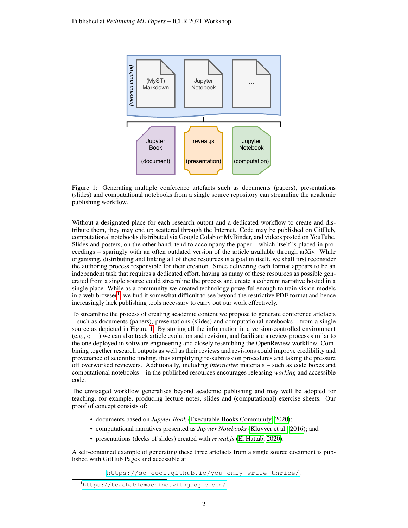

<span id="page-1-1"></span>

Without a designated place for each research output and a dedicated workflow to create and distribute them, they may end up scattered through the Internet. Code may be published on GitHub, computational notebooks distributed via Google Colab or MyBinder, and videos posted on YouTube. Slides and posters, on the other hand, tend to accompany the paper – which itself is placed in proceedings – sparingly with an often outdated version of the article available through arXiv. While organising, distributing and linking all of these resources is a goal in itself, we shall first reconsider the authoring process responsible for their creation. Since delivering each format appears to be an independent task that requires a dedicated effort, having as many of these resources as possible generated from a single source could streamline the process and create a coherent narrative hosted in a single place. While as a community we created technology powerful enough to train vision models in a web browser<sup>[1](#page-1-0)</sup>, we find it somewhat difficult to see beyond the restrictive PDF format and hence increasingly lack publishing tools necessary to carry out our work effectively.

To streamline the process of creating academic content we propose to generate conference artefacts – such as documents (papers), presentations (slides) and computational notebooks – from a single source as depicted in Figure [1.](#page-1-1) By storing all the information in a version-controlled environment (e.g., git) we can also track article evolution and revision, and facilitate a review process similar to the one deployed in software engineering and closely resembling the OpenReview workflow. Combining together research outputs as well as their reviews and revisions could improve credibility and provenance of scientific finding, thus simplifying re-submission procedures and taking the pressure off overworked reviewers. Additionally, including *interactive* materials – such as code boxes and computational notebooks – in the published resources encourages releasing *working* and accessible code.

The envisaged workflow generalises beyond academic publishing and may well be adopted for teaching, for example, producing lecture notes, slides and (computational) exercise sheets. Our proof of concept consists of:

- documents based on *Jupyter Book* [\(Executable Books Community, 2020\)](#page-5-0);
- computational narratives presented as *Jupyter Notebooks* [\(Kluyver et al., 2016\)](#page-6-0); and
- presentations (decks of slides) created with *reveal.js* [\(El Hattab, 2020\)](#page-5-1).

A self-contained example of generating these three artefacts from a single source document is published with GitHub Pages and accessible at

<https://so-cool.github.io/you-only-write-thrice/>.

<span id="page-1-0"></span><sup>1</sup><https://teachablemachine.withgoogle.com/>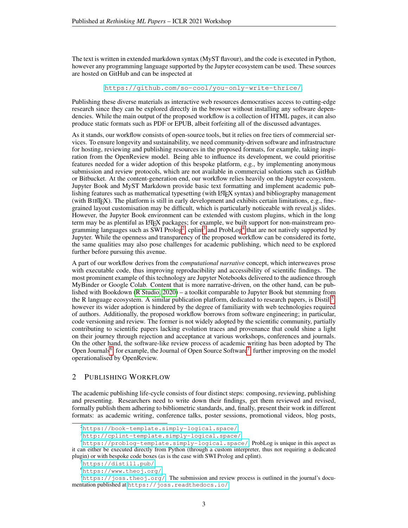The text is written in extended markdown syntax (MyST flavour), and the code is executed in Python, however any programming language supported by the Jupyter ecosystem can be used. These sources are hosted on GitHub and can be inspected at

<https://github.com/so-cool/you-only-write-thrice/>.

Publishing these diverse materials as interactive web resources democratises access to cutting-edge research since they can be explored directly in the browser without installing any software dependencies. While the main output of the proposed workflow is a collection of HTML pages, it can also produce static formats such as PDF or EPUB, albeit forfeiting all of the discussed advantages.

As it stands, our workflow consists of open-source tools, but it relies on free tiers of commercial services. To ensure longevity and sustainability, we need community-driven software and infrastructure for hosting, reviewing and publishing resources in the proposed formats, for example, taking inspiration from the OpenReview model. Being able to influence its development, we could prioritise features needed for a wider adoption of this bespoke platform, e.g., by implementing anonymous submission and review protocols, which are not available in commercial solutions such as GitHub or Bitbucket. At the content-generation end, our workflow relies heavily on the Jupyter ecosystem. Jupyter Book and MyST Markdown provide basic text formatting and implement academic publishing features such as mathematical typesetting (with LATEX syntax) and bibliography management (with BIBTEX). The platform is still in early development and exhibits certain limitations, e.g., finegrained layout customisation may be difficult, which is particularly noticeable with reveal.js slides. However, the Jupyter Book environment can be extended with custom plugins, which in the long term may be as plentiful as LATEX packages; for example, we built support for non-mainstream pro-gramming languages such as SWI Prolog<sup>[2](#page-2-0)</sup>, cplint<sup>[3](#page-2-1)</sup> and ProbLog<sup>[4](#page-2-2)</sup> that are not natively supported by Jupyter. While the openness and transparency of the proposed workflow can be considered its forte, the same qualities may also pose challenges for academic publishing, which need to be explored further before pursuing this avenue.

A part of our workflow derives from the *computational narrative* concept, which interweaves prose with executable code, thus improving reproducibility and accessibility of scientific findings. The most prominent example of this technology are Jupyter Notebooks delivered to the audience through MyBinder or Google Colab. Content that is more narrative-driven, on the other hand, can be published with Bookdown [\(R Studio, 2020\)](#page-6-1) – a toolkit comparable to Jupyter Book but stemming from the R language ecosystem. A similar publication platform, dedicated to research papers, is Distill<sup>[5](#page-2-3)</sup>, however its wider adoption is hindered by the degree of familiarity with web technologies required of authors. Additionally, the proposed workflow borrows from software engineering; in particular, code versioning and review. The former is not widely adopted by the scientific community, partially contributing to scientific papers lacking evolution traces and provenance that could shine a light on their journey through rejection and acceptance at various workshops, conferences and journals. On the other hand, the software-like review process of academic writing has been adopted by The Open Journals<sup>[6](#page-2-4)</sup>, for example, the Journal of Open Source Software<sup>[7](#page-2-5)</sup>, further improving on the model operationalised by OpenReview.

### 2 PUBLISHING WORKFLOW

The academic publishing life-cycle consists of four distinct steps: composing, reviewing, publishing and presenting. Researchers need to write down their findings, get them reviewed and revised, formally publish them adhering to bibliometric standards, and, finally, present their work in different formats: as academic writing, conference talks, poster sessions, promotional videos, blog posts,

<span id="page-2-0"></span><sup>2</sup><https://book-template.simply-logical.space/>

<span id="page-2-2"></span><span id="page-2-1"></span><sup>3</sup><http://cplint-template.simply-logical.space/>

<sup>4</sup><https://problog-template.simply-logical.space/>. ProbLog is unique in this aspect as it can either be executed directly from Python (through a custom interpreter, thus not requiring a dedicated plugin) or with bespoke code boxes (as is the case with SWI Prolog and cplint).

<span id="page-2-3"></span><sup>5</sup><https://distill.pub/>

<span id="page-2-5"></span><span id="page-2-4"></span><sup>6</sup><https://www.theoj.org/>

 $7$ <https://joss.theoj.org/>. The submission and review process is outlined in the journal's documentation published at <https://joss.readthedocs.io/>.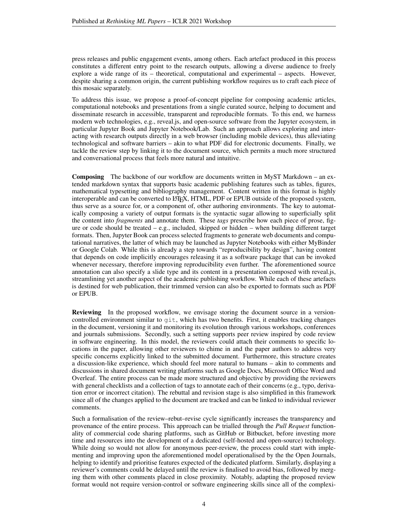press releases and public engagement events, among others. Each artefact produced in this process constitutes a different entry point to the research outputs, allowing a diverse audience to freely explore a wide range of its – theoretical, computational and experimental – aspects. However, despite sharing a common origin, the current publishing workflow requires us to craft each piece of this mosaic separately.

To address this issue, we propose a proof-of-concept pipeline for composing academic articles, computational notebooks and presentations from a single curated source, helping to document and disseminate research in accessible, transparent and reproducible formats. To this end, we harness modern web technologies, e.g., reveal.js, and open-source software from the Jupyter ecosystem, in particular Jupyter Book and Jupyter Notebook/Lab. Such an approach allows exploring and interacting with research outputs directly in a web browser (including mobile devices), thus alleviating technological and software barriers – akin to what PDF did for electronic documents. Finally, we tackle the review step by linking it to the document source, which permits a much more structured and conversational process that feels more natural and intuitive.

Composing The backbone of our workflow are documents written in MyST Markdown – an extended markdown syntax that supports basic academic publishing features such as tables, figures, mathematical typesetting and bibliography management. Content written in this format is highly interoperable and can be converted to LATEX, HTML, PDF or EPUB outside of the proposed system, thus serve as a source for, or a component of, other authoring environments. The key to automatically composing a variety of output formats is the syntactic sugar allowing to superficially split the content into *fragments* and annotate them. These *tags* prescribe how each piece of prose, figure or code should be treated  $-$  e.g., included, skipped or hidden  $-$  when building different target formats. Then, Jupyter Book can process selected fragments to generate web documents and computational narratives, the latter of which may be launched as Jupyter Notebooks with either MyBinder or Google Colab. While this is already a step towards "reproducibility by design", having content that depends on code implicitly encourages releasing it as a software package that can be invoked whenever necessary, therefore improving reproducibility even further. The aforementioned source annotation can also specify a slide type and its content in a presentation composed with reveal.js, streamlining yet another aspect of the academic publishing workflow. While each of these artefacts is destined for web publication, their trimmed version can also be exported to formats such as PDF or EPUB.

**Reviewing** In the proposed workflow, we envisage storing the document source in a versioncontrolled environment similar to git, which has two benefits. First, it enables tracking changes in the document, versioning it and monitoring its evolution through various workshops, conferences and journals submissions. Secondly, such a setting supports peer review inspired by code review in software engineering. In this model, the reviewers could attach their comments to specific locations in the paper, allowing other reviewers to chime in and the paper authors to address very specific concerns explicitly linked to the submitted document. Furthermore, this structure creates a discussion-like experience, which should feel more natural to humans – akin to comments and discussions in shared document writing platforms such as Google Docs, Microsoft Office Word and Overleaf. The entire process can be made more structured and objective by providing the reviewers with general checklists and a collection of tags to annotate each of their concerns (e.g., typo, derivation error or incorrect citation). The rebuttal and revision stage is also simplified in this framework since all of the changes applied to the document are tracked and can be linked to individual reviewer comments.

Such a formalisation of the review–rebut–revise cycle significantly increases the transparency and provenance of the entire process. This approach can be trialled through the *Pull Request* functionality of commercial code sharing platforms, such as GitHub or Bitbucket, before investing more time and resources into the development of a dedicated (self-hosted and open-source) technology. While doing so would not allow for anonymous peer-review, the process could start with implementing and improving upon the aforementioned model operationalised by the the Open Journals, helping to identify and prioritise features expected of the dedicated platform. Similarly, displaying a reviewer's comments could be delayed until the review is finalised to avoid bias, followed by merging them with other comments placed in close proximity. Notably, adapting the proposed review format would not require version-control or software engineering skills since all of the complexi-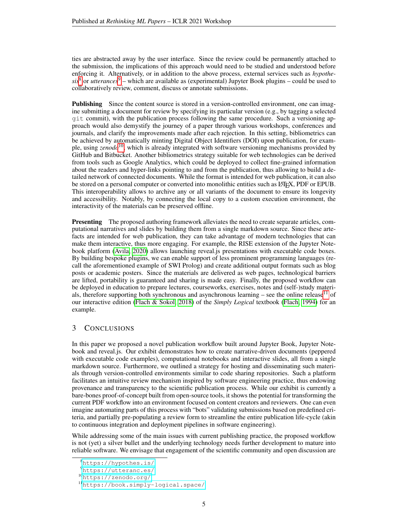ties are abstracted away by the user interface. Since the review could be permanently attached to the submission, the implications of this approach would need to be studied and understood before enforcing it. Alternatively, or in addition to the above process, external services such as *hypothe-* $sis<sup>8</sup>$  $sis<sup>8</sup>$  $sis<sup>8</sup>$  or *utterances*<sup>[9](#page-4-1)</sup> – which are available as (experimental) Jupyter Book plugins – could be used to collaboratively review, comment, discuss or annotate submissions.

Publishing Since the content source is stored in a version-controlled environment, one can imagine submitting a document for review by specifying its particular version (e.g., by tagging a selected git commit), with the publication process following the same procedure. Such a versioning approach would also demystify the journey of a paper through various workshops, conferences and journals, and clarify the improvements made after each rejection. In this setting, bibliometrics can be achieved by automatically minting Digital Object Identifiers (DOI) upon publication, for example, using *zenodo*[10](#page-4-2), which is already integrated with software versioning mechanisms provided by GitHub and Bitbucket. Another bibliometrics strategy suitable for web technologies can be derived from tools such as Google Analytics, which could be deployed to collect fine-grained information about the readers and hyper-links pointing to and from the publication, thus allowing to build a detailed network of connected documents. While the format is intended for web publication, it can also be stored on a personal computer or converted into monolithic entities such as LATEX, PDF or EPUB. This interoperability allows to archive any or all variants of the document to ensure its longevity and accessibility. Notably, by connecting the local copy to a custom execution environment, the interactivity of the materials can be preserved offline.

**Presenting** The proposed authoring framework alleviates the need to create separate articles, computational narratives and slides by building them from a single markdown source. Since these artefacts are intended for web publication, they can take advantage of modern technologies that can make them interactive, thus more engaging. For example, the RISE extension of the Jupyter Notebook platform [\(Avila, 2020\)](#page-5-2) allows launching reveal.js presentations with executable code boxes. By building bespoke plugins, we can enable support of less prominent programming languages (recall the aforementioned example of SWI Prolog) and create additional output formats such as blog posts or academic posters. Since the materials are delivered as web pages, technological barriers are lifted, portability is guaranteed and sharing is made easy. Finally, the proposed workflow can be deployed in education to prepare lectures, courseworks, exercises, notes and (self-)study materi-als, therefore supporting both synchronous and asynchronous learning – see the online release<sup>[11](#page-4-3)</sup> of our interactive edition [\(Flach & Sokol, 2018\)](#page-5-3) of the *Simply Logical* textbook [\(Flach, 1994\)](#page-5-4) for an example.

# 3 CONCLUSIONS

In this paper we proposed a novel publication workflow built around Jupyter Book, Jupyter Notebook and reveal.js. Our exhibit demonstrates how to create narrative-driven documents (peppered with executable code examples), computational notebooks and interactive slides, all from a single markdown source. Furthermore, we outlined a strategy for hosting and disseminating such materials through version-controlled environments similar to code sharing repositories. Such a platform facilitates an intuitive review mechanism inspired by software engineering practice, thus endowing provenance and transparency to the scientific publication process. While our exhibit is currently a bare-bones proof-of-concept built from open-source tools, it shows the potential for transforming the current PDF workflow into an environment focused on content creators and reviewers. One can even imagine automating parts of this process with "bots" validating submissions based on predefined criteria, and partially pre-populating a review form to streamline the entire publication life-cycle (akin to continuous integration and deployment pipelines in software engineering).

While addressing some of the main issues with current publishing practice, the proposed workflow is not (yet) a silver bullet and the underlying technology needs further development to mature into reliable software. We envisage that engagement of the scientific community and open discussion are

<span id="page-4-0"></span><sup>8</sup><https://hypothes.is/>

<span id="page-4-1"></span><sup>9</sup><https://utteranc.es/>

<span id="page-4-2"></span><sup>10</sup><https://zenodo.org/>

<span id="page-4-3"></span><sup>11</sup><https://book.simply-logical.space/>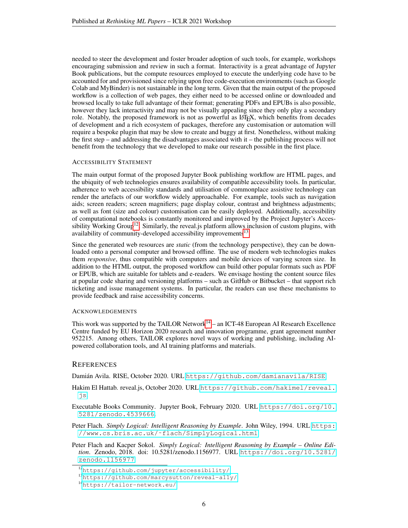needed to steer the development and foster broader adoption of such tools, for example, workshops encouraging submission and review in such a format. Interactivity is a great advantage of Jupyter Book publications, but the compute resources employed to execute the underlying code have to be accounted for and provisioned since relying upon free code-execution environments (such as Google Colab and MyBinder) is not sustainable in the long term. Given that the main output of the proposed workflow is a collection of web pages, they either need to be accessed online or downloaded and browsed locally to take full advantage of their format; generating PDFs and EPUBs is also possible, however they lack interactivity and may not be visually appealing since they only play a secondary role. Notably, the proposed framework is not as powerful as LATEX, which benefits from decades of development and a rich ecosystem of packages, therefore any customisation or automation will require a bespoke plugin that may be slow to create and buggy at first. Nonetheless, without making the first step – and addressing the disadvantages associated with it – the publishing process will not benefit from the technology that we developed to make our research possible in the first place.

#### ACCESSIBILITY STATEMENT

The main output format of the proposed Jupyter Book publishing workflow are HTML pages, and the ubiquity of web technologies ensures availability of compatible accessibility tools. In particular, adherence to web accessibility standards and utilisation of commonplace assistive technology can render the artefacts of our workflow widely approachable. For example, tools such as navigation aids; screen readers; screen magnifiers; page display colour, contrast and brightness adjustments; as well as font (size and colour) customisation can be easily deployed. Additionally, accessibility of computational notebooks is constantly monitored and improved by the Project Jupyter's Acces-sibility Working Group<sup>[12](#page-5-5)</sup>. Similarly, the reveal. is platform allows inclusion of custom plugins, with availability of community-developed accessibility improvements<sup>[13](#page-5-6)</sup>.

Since the generated web resources are *static* (from the technology perspective), they can be downloaded onto a personal computer and browsed offline. The use of modern web technologies makes them *responsive*, thus compatible with computers and mobile devices of varying screen size. In addition to the HTML output, the proposed workflow can build other popular formats such as PDF or EPUB, which are suitable for tablets and e-readers. We envisage hosting the content source files at popular code sharing and versioning platforms – such as GitHub or Bitbucket – that support rich ticketing and issue management systems. In particular, the readers can use these mechanisms to provide feedback and raise accessibility concerns.

#### ACKNOWLEDGEMENTS

This work was supported by the TAILOR Network<sup>[14](#page-5-7)</sup> – an ICT-48 European AI Research Excellence Centre funded by EU Horizon 2020 research and innovation programme, grant agreement number 952215. Among others, TAILOR explores novel ways of working and publishing, including AIpowered collaboration tools, and AI training platforms and materials.

#### **REFERENCES**

<span id="page-5-2"></span>Damián Avila. RISE, October 2020. URL <https://github.com/damianavila/RISE>.

<span id="page-5-1"></span>Hakim El Hattab. reveal.js, October 2020. URL [https://github.com/hakimel/reveal.](https://github.com/hakimel/reveal.js) [js](https://github.com/hakimel/reveal.js).

<span id="page-5-0"></span>Executable Books Community. Jupyter Book, February 2020. URL [https://doi.org/10.](https://doi.org/10.5281/zenodo.4539666) [5281/zenodo.4539666](https://doi.org/10.5281/zenodo.4539666).

<span id="page-5-4"></span>Peter Flach. *Simply Logical: Intelligent Reasoning by Example*. John Wiley, 1994. URL [https:](https://www.cs.bris.ac.uk/~flach/SimplyLogical.html) [//www.cs.bris.ac.uk/˜flach/SimplyLogical.html](https://www.cs.bris.ac.uk/~flach/SimplyLogical.html).

<span id="page-5-3"></span>Peter Flach and Kacper Sokol. *Simply Logical: Intelligent Reasoning by Example – Online Edition*. Zenodo, 2018. doi: 10.5281/zenodo.1156977. URL [https://doi.org/10.5281/](https://doi.org/10.5281/zenodo.1156977) [zenodo.1156977](https://doi.org/10.5281/zenodo.1156977).

<span id="page-5-5"></span><sup>12</sup><https://github.com/jupyter/accessibility/>

<span id="page-5-6"></span><sup>13</sup><https://github.com/marcysutton/reveal-a11y/>

<span id="page-5-7"></span><sup>14</sup><https://tailor-network.eu/>